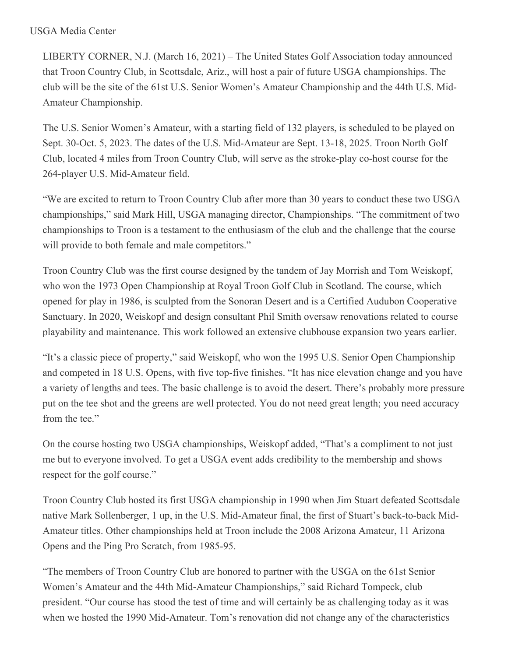## USGA Media Center

LIBERTY CORNER, N.J. (March 16, 2021) – The United States Golf Association today announced that Troon Country Club, in Scottsdale, Ariz., will host a pair of future USGA championships. The club will be the site of the 61st U.S. Senior Women's Amateur Championship and the 44th U.S. Mid-Amateur Championship.

The U.S. Senior Women's Amateur, with a starting field of 132 players, is scheduled to be played on Sept. 30-Oct. 5, 2023. The dates of the U.S. Mid-Amateur are Sept. 13-18, 2025. Troon North Golf Club, located 4 miles from Troon Country Club, will serve as the stroke-play co-host course for the 264-player U.S. Mid-Amateur field.

"We are excited to return to Troon Country Club after more than 30 years to conduct these two USGA championships," said Mark Hill, USGA managing director, Championships. "The commitment of two championships to Troon is a testament to the enthusiasm of the club and the challenge that the course will provide to both female and male competitors."

Troon Country Club was the first course designed by the tandem of Jay Morrish and Tom Weiskopf, who won the 1973 Open Championship at Royal Troon Golf Club in Scotland. The course, which opened for play in 1986, is sculpted from the Sonoran Desert and is a Certified Audubon Cooperative Sanctuary. In 2020, Weiskopf and design consultant Phil Smith oversaw renovations related to course playability and maintenance. This work followed an extensive clubhouse expansion two years earlier.

"It's a classic piece of property," said Weiskopf, who won the 1995 U.S. Senior Open Championship and competed in 18 U.S. Opens, with five top-five finishes. "It has nice elevation change and you have a variety of lengths and tees. The basic challenge is to avoid the desert. There's probably more pressure put on the tee shot and the greens are well protected. You do not need great length; you need accuracy from the tee."

On the course hosting two USGA championships, Weiskopf added, "That's a compliment to not just me but to everyone involved. To get a USGA event adds credibility to the membership and shows respect for the golf course."

Troon Country Club hosted its first USGA championship in 1990 when Jim Stuart defeated Scottsdale native Mark Sollenberger, 1 up, in the U.S. Mid-Amateur final, the first of Stuart's back-to-back Mid-Amateur titles. Other championships held at Troon include the 2008 Arizona Amateur, 11 Arizona Opens and the Ping Pro Scratch, from 1985-95.

"The members of Troon Country Club are honored to partner with the USGA on the 61st Senior Women's Amateur and the 44th Mid-Amateur Championships," said Richard Tompeck, club president. "Our course has stood the test of time and will certainly be as challenging today as it was when we hosted the 1990 Mid-Amateur. Tom's renovation did not change any of the characteristics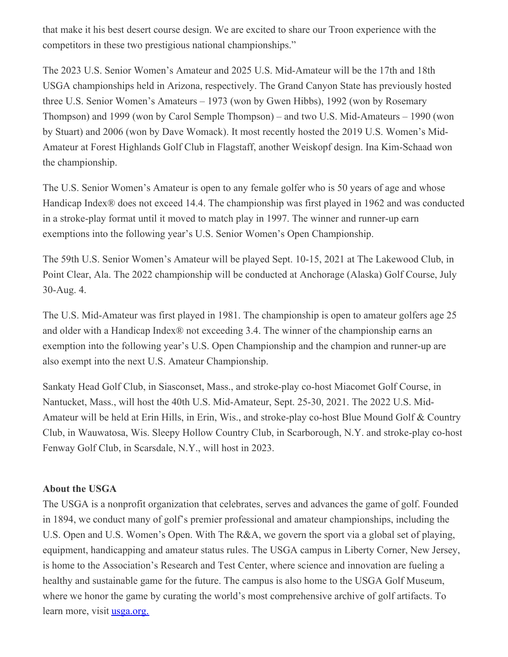that make it his best desert course design. We are excited to share our Troon experience with the competitors in these two prestigious national championships."

The 2023 U.S. Senior Women's Amateur and 2025 U.S. Mid-Amateur will be the 17th and 18th USGA championships held in Arizona, respectively. The Grand Canyon State has previously hosted three U.S. Senior Women's Amateurs – 1973 (won by Gwen Hibbs), 1992 (won by Rosemary Thompson) and 1999 (won by Carol Semple Thompson) – and two U.S. Mid-Amateurs – 1990 (won by Stuart) and 2006 (won by Dave Womack). It most recently hosted the 2019 U.S. Women's Mid-Amateur at Forest Highlands Golf Club in Flagstaff, another Weiskopf design. Ina Kim-Schaad won the championship.

The U.S. Senior Women's Amateur is open to any female golfer who is 50 years of age and whose Handicap Index® does not exceed 14.4. The championship was first played in 1962 and was conducted in a stroke-play format until it moved to match play in 1997. The winner and runner-up earn exemptions into the following year's U.S. Senior Women's Open Championship.

The 59th U.S. Senior Women's Amateur will be played Sept. 10-15, 2021 at The Lakewood Club, in Point Clear, Ala. The 2022 championship will be conducted at Anchorage (Alaska) Golf Course, July 30-Aug. 4.

The U.S. Mid-Amateur was first played in 1981. The championship is open to amateur golfers age 25 and older with a Handicap Index® not exceeding 3.4. The winner of the championship earns an exemption into the following year's U.S. Open Championship and the champion and runner-up are also exempt into the next U.S. Amateur Championship.

Sankaty Head Golf Club, in Siasconset, Mass., and stroke-play co-host Miacomet Golf Course, in Nantucket, Mass., will host the 40th U.S. Mid-Amateur, Sept. 25-30, 2021. The 2022 U.S. Mid-Amateur will be held at Erin Hills, in Erin, Wis., and stroke-play co-host Blue Mound Golf & Country Club, in Wauwatosa, Wis. Sleepy Hollow Country Club, in Scarborough, N.Y. and stroke-play co-host Fenway Golf Club, in Scarsdale, N.Y., will host in 2023.

## **About the USGA**

The USGA is a nonprofit organization that celebrates, serves and advances the game of golf. Founded in 1894, we conduct many of golf's premier professional and amateur championships, including the U.S. Open and U.S. Women's Open. With The R&A, we govern the sport via a global set of playing, equipment, handicapping and amateur status rules. The USGA campus in Liberty Corner, New Jersey, is home to the Association's Research and Test Center, where science and innovation are fueling a healthy and sustainable game for the future. The campus is also home to the USGA Golf Museum, where we honor the game by curating the world's most comprehensive archive of golf artifacts. To learn more, visit [usga.org.](https://nam12.safelinks.protection.outlook.com/?url=http%3A%2F%2Fwww.usga.org%2F&data=04%7C01%7CJGeske%40USGA.org%7C849dd629ed7940b7f07a08d8e88813cb%7C17abf7083a064391bdbd06808d1b9f81%7C0%7C0%7C637515018434259483%7CUnknown%7CTWFpbGZsb3d8eyJWIjoiMC4wLjAwMDAiLCJQIjoiV2luMzIiLCJBTiI6Ik1haWwiLCJXVCI6Mn0%3D%7C1000&sdata=SO2kYZxqxL5%2FIgV%2FizCG%2BnGDkyGYbbG30xPZkBBGxAo%3D&reserved=0)